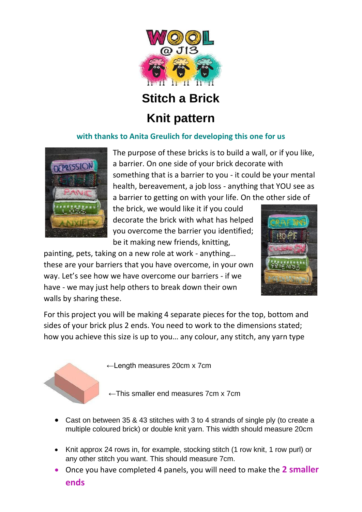

# **Stitch a Brick**

## **Knit pattern**

#### **with thanks to Anita Greulich for developing this one for us**



The purpose of these bricks is to build a wall, or if you like, a barrier. On one side of your brick decorate with something that is a barrier to you - it could be your mental health, bereavement, a job loss - anything that YOU see as a barrier to getting on with your life. On the other side of

the brick, we would like it if you could decorate the brick with what has helped you overcome the barrier you identified; be it making new friends, knitting,



painting, pets, taking on a new role at work - anything… these are your barriers that you have overcome, in your own way. Let's see how we have overcome our barriers - if we have - we may just help others to break down their own walls by sharing these.

For this project you will be making 4 separate pieces for the top, bottom and sides of your brick plus 2 ends. You need to work to the dimensions stated; how you achieve this size is up to you… any colour, any stitch, any yarn type



←Length measures 20cm x 7cm

**←**This smaller end measures 7cm x 7cm

- Cast on between 35 & 43 stitches with 3 to 4 strands of single ply (to create a multiple coloured brick) or double knit yarn. This width should measure 20cm
- Knit approx 24 rows in, for example, stocking stitch (1 row knit, 1 row purl) or any other stitch you want. This should measure 7cm.
- Once you have completed 4 panels, you will need to make the **2 smaller ends**